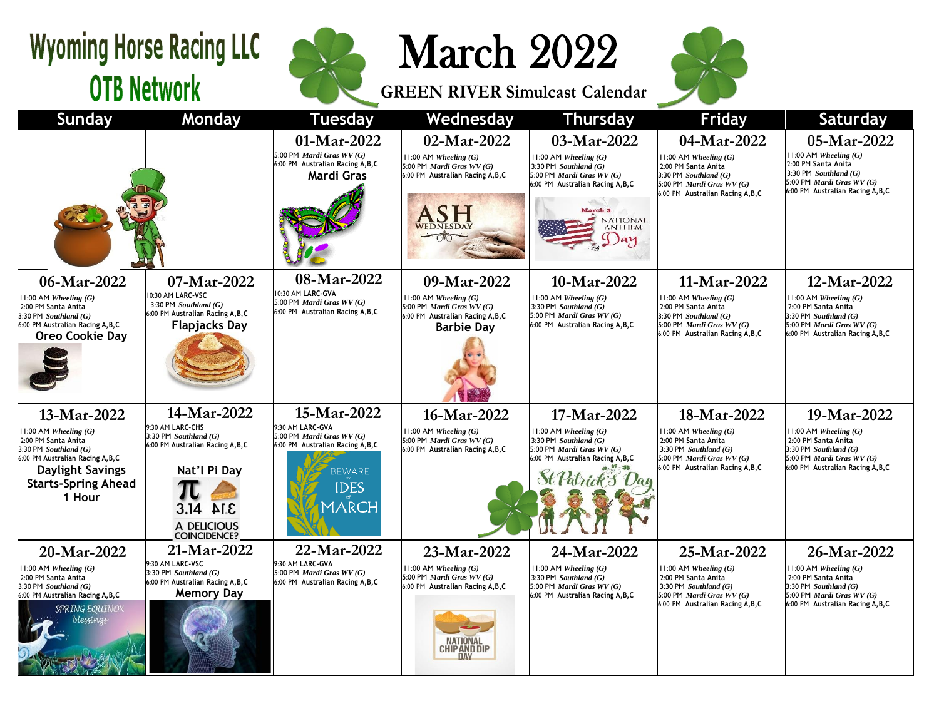## **Wyoming Horse Racing LLC OTB Network**



March 2022

**GREEN RIVER Simulcast Calendar**



| <b>Sunday</b>                                                                                                                                                                         | Monday                                                                                                                           | <b>Tuesday</b>                                                                                          | Wednesday                                                                                                               | <b>Thursday</b>                                                                                                                                                                             | <b>Friday</b>                                                                                                                                                | Saturday                                                                                                                                                     |
|---------------------------------------------------------------------------------------------------------------------------------------------------------------------------------------|----------------------------------------------------------------------------------------------------------------------------------|---------------------------------------------------------------------------------------------------------|-------------------------------------------------------------------------------------------------------------------------|---------------------------------------------------------------------------------------------------------------------------------------------------------------------------------------------|--------------------------------------------------------------------------------------------------------------------------------------------------------------|--------------------------------------------------------------------------------------------------------------------------------------------------------------|
|                                                                                                                                                                                       |                                                                                                                                  | 01-Mar-2022<br>5:00 PM Mardi Gras WV (G)<br>6:00 PM Australian Racing A, B, C<br>Mardi Gras             | 02-Mar-2022<br>$11:00$ AM Wheeling $(G)$<br>5:00 PM Mardi Gras WV (G)<br>6:00 PM Australian Racing A, B, C<br>ASH       | 03-Mar-2022<br>$11:00$ AM Wheeling $(G)$<br>3:30 PM Southland $(G)$<br>5:00 PM Mardi Gras WV (G)<br>6:00 PM Australian Racing A, B, C<br><b>March 3</b><br><b>NATIONAL</b><br><b>ANTHEM</b> | 04-Mar-2022<br>$11:00$ AM Wheeling $(G)$<br>2:00 PM Santa Anita<br>3:30 PM Southland $(G)$<br>5:00 PM Mardi Gras WV (G)<br>6:00 PM Australian Racing A, B, C | 05-Mar-2022<br>$11:00$ AM Wheeling $(G)$<br>2:00 PM Santa Anita<br>3:30 PM Southland $(G)$<br>5:00 PM Mardi Gras WV (G)<br>6:00 PM Australian Racing A, B, C |
| 06-Mar-2022<br>$11:00$ AM Wheeling $(G)$                                                                                                                                              | 07-Mar-2022<br>10:30 AM LARC-VSC                                                                                                 | 08-Mar-2022<br>10:30 AM LARC-GVA                                                                        | 09-Mar-2022<br>$11:00$ AM Wheeling $(G)$                                                                                | 10-Mar-2022<br>$11:00$ AM Wheeling $(G)$                                                                                                                                                    | 11-Mar-2022<br>$11:00$ AM Wheeling $(G)$                                                                                                                     | 12-Mar-2022<br>$11:00$ AM Wheeling $(G)$                                                                                                                     |
| 2:00 PM Santa Anita<br>$3:30$ PM Southland $(G)$<br>6:00 PM Australian Racing A, B, C<br>Oreo Cookie Day                                                                              | 3:30 PM Southland $(G)$<br>6:00 PM Australian Racing A, B, C<br><b>Flapjacks Day</b>                                             | 5:00 PM Mardi Gras WV (G)<br>6:00 PM Australian Racing A, B, C                                          | 5:00 PM Mardi Gras WV (G)<br>6:00 PM Australian Racing A, B, C<br><b>Barbie Day</b>                                     | 3:30 PM $Southland(G)$<br>5:00 PM Mardi Gras WV (G)<br>6:00 PM Australian Racing A, B, C                                                                                                    | 2:00 PM Santa Anita<br>3:30 PM Southland $(G)$<br>5:00 PM Mardi Gras WV (G)<br>6:00 PM Australian Racing A, B, C                                             | 2:00 PM Santa Anita<br>$3:30$ PM Southland $(G)$<br>5:00 PM Mardi Gras WV (G)<br>6:00 PM Australian Racing A, B, C                                           |
| 13-Mar-2022                                                                                                                                                                           | 14-Mar-2022<br>9:30 AM LARC-CHS                                                                                                  | 15-Mar-2022<br>9:30 AM LARC-GVA                                                                         | 16-Mar-2022                                                                                                             | 17-Mar-2022                                                                                                                                                                                 | 18-Mar-2022                                                                                                                                                  | 19-Mar-2022                                                                                                                                                  |
| $11:00$ AM Wheeling $(G)$<br>2:00 PM Santa Anita<br>$3:30$ PM Southland $(G)$<br>6:00 PM Australian Racing A, B, C<br><b>Daylight Savings</b><br><b>Starts-Spring Ahead</b><br>1 Hour | 3:30 PM Southland $(G)$<br>6:00 PM Australian Racing A, B, C<br>Nat'l Pi Day<br>$3.14$ ALE<br>A DELICIOUS<br><b>COINCIDENCE?</b> | 5:00 PM Mardi Gras WV (G)<br>6:00 PM Australian Racing A, B, C<br><b>BEWARE</b><br><b>IDES</b><br>MARCH | $11:00$ AM Wheeling $(G)$<br>5:00 PM Mardi Gras WV (G)<br>6:00 PM Australian Racing A, B, C                             | $11:00$ AM Wheeling $(G)$<br>3:30 PM $Southland(G)$<br>5:00 PM Mardi Gras WV (G)<br>6:00 PM Australian Racing A, B, C<br>$H$ Patrick $\beta$                                                | $11:00$ AM Wheeling $(G)$<br>2:00 PM Santa Anita<br>3:30 PM Southland $(G)$<br>5:00 PM Mardi Gras WV (G)<br>6:00 PM Australian Racing A, B, C                | $11:00$ AM Wheeling $(G)$<br>2:00 PM Santa Anita<br>$3:30$ PM Southland $(G)$<br>5:00 PM Mardi Gras WV (G)<br>6:00 PM Australian Racing A, B, C              |
| 20-Mar-2022                                                                                                                                                                           | 21-Mar-2022                                                                                                                      | 22-Mar-2022                                                                                             | 23-Mar-2022                                                                                                             | 24-Mar-2022                                                                                                                                                                                 | 25-Mar-2022                                                                                                                                                  | 26-Mar-2022                                                                                                                                                  |
| $11:00$ AM Wheeling $(G)$<br>2:00 PM Santa Anita<br>$3:30$ PM Southland $(G)$<br>6:00 PM Australian Racing A, B, C<br>SPRING EQUINOX<br>blessings                                     | 9:30 AM LARC-VSC<br>3:30 PM Southland $(G)$<br>6:00 PM Australian Racing A, B, C<br><b>Memory Day</b>                            | 9:30 AM LARC-GVA<br>5:00 PM Mardi Gras WV (G)<br>6:00 PM Australian Racing A, B, C                      | $11:00$ AM Wheeling $(G)$<br>5:00 PM Mardi Gras WV (G)<br>6:00 PM Australian Racing A, B, C<br>NATIONAL<br>CHIP AND DIP | $11:00$ AM Wheeling $(G)$<br>$3:30$ PM Southland $(G)$<br>5:00 PM Mardi Gras WV (G)<br>6:00 PM Australian Racing A, B, C                                                                    | 11:00 AM Wheeling $(G)$<br>2:00 PM Santa Anita<br>3:30 PM Southland $(G)$<br>5:00 PM Mardi Gras WV (G)<br>6:00 PM Australian Racing A, B, C                  | $11:00$ AM Wheeling $(G)$<br>2:00 PM Santa Anita<br>$3:30$ PM Southland $(G)$<br>5:00 PM Mardi Gras WV (G)<br>6:00 PM Australian Racing A, B, C              |